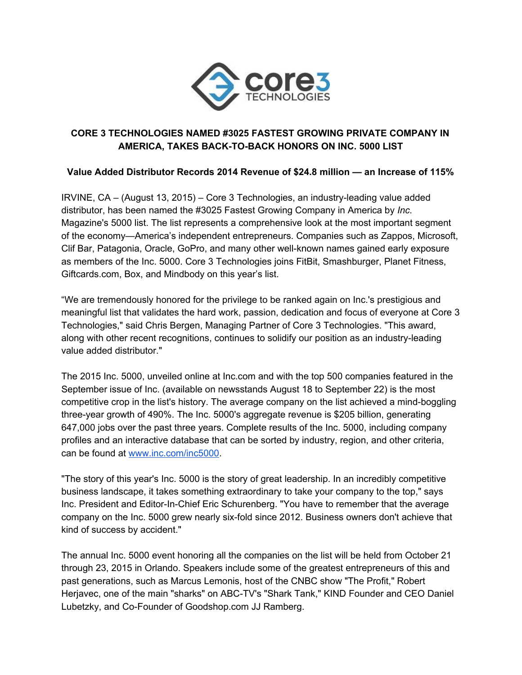

# **CORE 3 TECHNOLOGIES NAMED #3025 FASTEST GROWING PRIVATE COMPANY IN AMERICA, TAKES BACKTOBACK HONORS ON INC. 5000 LIST**

**Value Added Distributor Records 2014 Revenue of \$24.8 million — an Increase of 115%**

IRVINE, CA – (August 13, 2015) – Core 3 Technologies, an industryleading value added distributor, has been named the #3025 Fastest Growing Company in America by *Inc.* Magazine's 5000 list. The list represents a comprehensive look at the most important segment of the economy—America's independent entrepreneurs. Companies such as Zappos, Microsoft, Clif Bar, Patagonia, Oracle, GoPro, and many other well-known names gained early exposure as members of the Inc. 5000. Core 3 Technologies joins FitBit, Smashburger, Planet Fitness, Giftcards.com, Box, and Mindbody on this year's list.

"We are tremendously honored for the privilege to be ranked again on Inc.'s prestigious and meaningful list that validates the hard work, passion, dedication and focus of everyone at Core 3 Technologies," said Chris Bergen, Managing Partner of Core 3 Technologies. "This award, along with other recent recognitions, continues to solidify our position as an industry-leading value added distributor."

The 2015 Inc. 5000, unveiled online at Inc.com and with the top 500 companies featured in the September issue of Inc. (available on newsstands August 18 to September 22) is the most competitive crop in the list's history. The average company on the list achieved a mind-boggling three-year growth of 490%. The Inc. 5000's aggregate revenue is \$205 billion, generating 647,000 jobs over the past three years. Complete results of the Inc. 5000, including company profiles and an interactive database that can be sorted by industry, region, and other criteria, can be found at [www.inc.com/inc5000](http://www.inc.com/inc5000).

"The story of this year's Inc. 5000 is the story of great leadership. In an incredibly competitive business landscape, it takes something extraordinary to take your company to the top," says Inc. President and Editor-In-Chief Eric Schurenberg. "You have to remember that the average company on the Inc. 5000 grew nearly six-fold since 2012. Business owners don't achieve that kind of success by accident."

The annual Inc. 5000 event honoring all the companies on the list will be held from October 21 through 23, 2015 in Orlando. Speakers include some of the greatest entrepreneurs of this and past generations, such as Marcus Lemonis, host of the CNBC show "The Profit," Robert Herjavec, one of the main "sharks" on ABC-TV's "Shark Tank," KIND Founder and CEO Daniel Lubetzky, and Co-Founder of Goodshop.com JJ Ramberg.